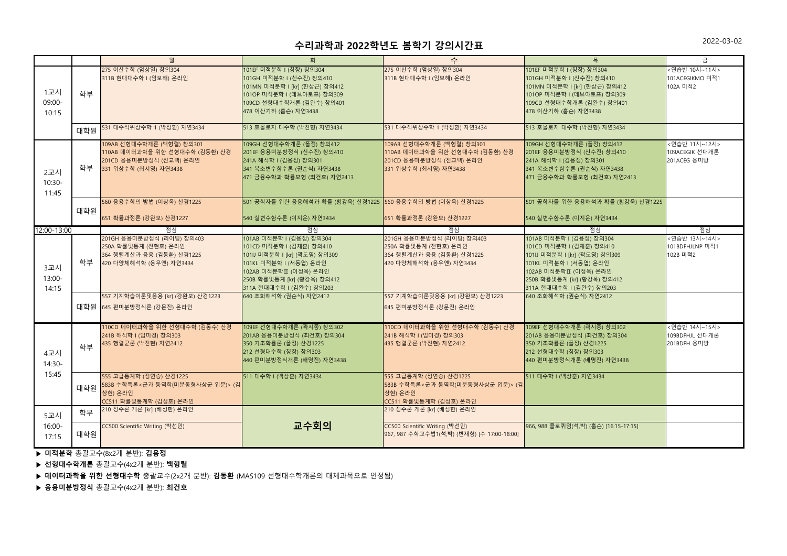## **수리과학과 2022학년도 봄학기 강의시간표**

|                           |           | 월                                                                                                                                                                         | 화                                                                                                                                                                                                                             | 수                                                                                                                                            | 목                                                                                                                                                                                                                             | 금                                              |
|---------------------------|-----------|---------------------------------------------------------------------------------------------------------------------------------------------------------------------------|-------------------------------------------------------------------------------------------------------------------------------------------------------------------------------------------------------------------------------|----------------------------------------------------------------------------------------------------------------------------------------------|-------------------------------------------------------------------------------------------------------------------------------------------------------------------------------------------------------------------------------|------------------------------------------------|
| 1교시<br>09:00-<br>10:15    | 학부        | 275 이산수학 (엄상일) 창의304<br>311B 현대대수학 I (임보해) 온라인                                                                                                                            | 101EF 미적분학 I (칭장) 창의304<br>101GH 미적분학 I (신수진) 창의410<br>101MN 미적분학 I [kr] (한상근) 창의412<br>101OP 미적분학 I (데브야토프) 창의309<br>109CD 선형대수학개론 (김완수) 창의401<br>478 이산기하 (홈슨) 자연3438                                                       | 275 이산수학 (엄상일) 창의304<br>311B 현대대수학 I (임보해) 온라인                                                                                               | 101EF 미적분학 I (칭장) 창의304<br>101GH 미적분학 I (신수진) 창의410<br>101MN 미적분학 I [kr] (한상근) 창의412<br>101OP 미적분학 I (데브야토프) 창의309<br>109CD 선형대수학개론 (김완수) 창의401<br>478 이산기하 (홈슨) 자연3438                                                       | <연습반 10시~11시><br>101ACEGIKMO 미적1<br>102A 미적2   |
|                           | 대학원       | 531 대수적위상수학 1 (박정환) 자연3434                                                                                                                                                | 513 호몰로지 대수학 (박진형) 자연3434                                                                                                                                                                                                     | 531 대수적위상수학 1 (박정환) 자연3434                                                                                                                   | 513 호몰로지 대수학 (박진형) 자연3434                                                                                                                                                                                                     |                                                |
| 2교시<br>$10:30-$<br>11:45  | 학부        | 109AB 선형대수학개론 (백형렬) 창의301<br>110AB 데이터과학을 위한 선형대수학 (김동환) 산경<br>201CD 응용미분방정식 (진교택) 온라인<br>331 위상수학 (최서영) 자연3438                                                           | 109GH 선형대수학개론 (폴정) 창의412<br>201EF 응용미분방정식 (신수진) 창의410<br>241A 해석학 I (김용정) 창의301<br>341 복소변수함수론 (권순식) 자연3438<br>471 금융수학과 확률모형 (최건호) 자연2413                                                                                    | 109AB 선형대수학개론 (백형렬) 창의301<br>110AB 데이터과학을 위한 선형대수학 (김동환) 산경<br>201CD 응용미분방정식 (진교택) 온라인<br>331 위상수학 (최서영) 자연3438                              | 109GH 선형대수학개론 (폴정) 창의412<br>201EF 응용미분방정식 (신수진) 창의410<br>241A 해석학 I (김용정) 창의301<br>341 복소변수함수론 (권순식) 자연3438<br>471 금융수학과 확률모형 (최건호) 자연2413                                                                                    | <연습반 11시~12시><br>109ACEGIK 선대개론<br>201ACEG 응미방 |
|                           | 대학원       | 560 응용수학의 방법 (이창옥) 산경1225<br>651 확률과정론 (강완모) 산경1227                                                                                                                       | 501 공학자를 위한 응용해석과 확률 (황강욱) 산경1225 560 응용수학의 방법 (이창옥) 산경1225<br>540 실변수함수론 (이지운) 자연3434                                                                                                                                        | 651 확률과정론 (강완모) 산경1227                                                                                                                       | 501 공학자를 위한 응용해석과 확률 (황강욱) 산경1225<br>540 실변수함수론 (이지운) 자연3434                                                                                                                                                                  |                                                |
| 12:00-13:00               |           | 점심                                                                                                                                                                        | 점심                                                                                                                                                                                                                            | 점심                                                                                                                                           | 점심                                                                                                                                                                                                                            | 점심                                             |
| 3교시<br>$13:00 -$<br>14:15 | 학부        | 201GH 응용미분방정식 (리이팅) 창의403<br>250A 확률및통계 (전현호) 온라인<br>364 행렬계산과 응용 (김동환) 산경1225<br>420 다양체해석학 (응우옌) 자연3434<br>557 기계학습이론및응용 [kr] (강완모) 산경1223<br>대학원 645 편미분방정식론 (강문진) 온라인 | 101AB 미적분학 I (김용정) 창의304<br>101CD 미적분학 I (김재훈) 창의410<br>101IJ 미적분학 I [kr] (곽도영) 창의309<br>101KL 미적분학 I (서동엽) 온라인<br>102AB 미적분학Ⅱ (이정욱) 온라인<br>250B 확률및통계 [kr] (황강욱) 창의412<br>311A 현대대수학 I (김완수) 창의203<br>640 조화해석학 (권순식) 자연2412 | 201GH 응용미분방정식 (리이팅) 창의403<br>250A 확률및통계 (전현호) 온라인<br>364 행렬계산과 응용 (김동환) 산경1225<br>420 다양체해석학 (응우옌) 자연3434<br>557 기계학습이론및응용 [kr] (강완모) 산경1223 | 101AB 미적분학 I (김용정) 창의304<br>101CD 미적분학 I (김재훈) 창의410<br>101IJ 미적분학 I [kr] (곽도영) 창의309<br>101KL 미적분학 I (서동엽) 온라인<br>102AB 미적분학Ⅱ (이정욱) 온라인<br>250B 확률및통계 [kr] (황강욱) 창의412<br>311A 현대대수학 I (김완수) 창의203<br>640 조화해석학 (권순식) 자연2412 | <연습반 13시~14시><br>101BDFHJLNP 미적1<br>102B 미적2   |
|                           |           |                                                                                                                                                                           |                                                                                                                                                                                                                               | 645 편미분방정식론 (강문진) 온라인                                                                                                                        |                                                                                                                                                                                                                               |                                                |
| 4교시<br>$14:30-$<br>15:45  | 한부<br>1 L | 110CD 데이터과학을 위한 선형대수학 (김동수) 산경<br>241B 해석학 I (임미경) 창의303<br>435 행렬군론 (박진현) 자연2412                                                                                         | 109EF 선형대수학개론 (곽시종) 창의302<br>201AB 응용미분방정식 (최건호) 창의304<br>350 기초확률론 (폴정) 산경1225<br>212 선형대수학 (칭장) 창의303<br>440 편미분방정식개론 (배명진) 자연3438                                                                                          | 110CD 데이터과학을 위한 선형대수학 (김동수) 산경<br>241B 해석학 I (임미경) 창의303<br>435 행렬군론 (박진현) 자연2412                                                            | 109EF 선형대수학개론 (곽시종) 창의302<br>201AB 응용미분방정식 (최건호) 창의304<br>350 기초확률론 (폴정) 산경1225<br>212 선형대수학 (칭장) 창의303<br>440 편미분방정식개론 (배명진) 자연3438                                                                                          | <연습반 14시~15시><br>109BDFHJL 선대개론<br>201BDFH 응미방 |
|                           | 대학원       | 555 고급통계학 (정연승) 산경1225<br>583B 수학특론<군과 동역학(미분동형사상군 입문)> (김<br>상현) 온라인<br>CC511 확률및통계학 (김성호) 온라인                                                                           | 511 대수학 I (백상훈) 자연3434                                                                                                                                                                                                        | 555 고급통계학 (정연승) 산경1225<br>┃583B 수학특론<군과 동역학(미분동형사상군 입문)> (김│<br>상현) 온라인<br>CC511 확률및통계학 (김성호) 온라인                                            | 511 대수학 I (백상훈) 자연3434                                                                                                                                                                                                        |                                                |
| 5교시                       | 학부        | 210 정수론 개론 [kr] (배성한) 온라인                                                                                                                                                 |                                                                                                                                                                                                                               | 210 정수론 개론 [kr] (배성한) 온라인                                                                                                                    |                                                                                                                                                                                                                               |                                                |
| $16:00 -$<br>17:15        | 대학원       | CC500 Scientific Writing (박선민)                                                                                                                                            | 교수회의                                                                                                                                                                                                                          | CC500 Scientific Writing (박선민)<br>967, 987 수학교수법1(석,박) (변재형) [수 17:00-18:00]                                                                 | 966, 988 콜로퀴엄(석,박) (홈슨) [16:15-17:15]                                                                                                                                                                                         |                                                |

▶ **미적분학** 총괄교수(8x2개 분반): **김용정**

▶ **선형대수학개론** 총괄교수(4x2개 분반): **백형렬**

▶ **데이터과학을 위한 선형대수학** 총괄교수(2x2개 분반): **김동환** (MAS109 선형대수학개론의 대체과목으로 인정됨)

▶ **응용미분방정식** 총괄교수(4x2개 분반): **최건호**